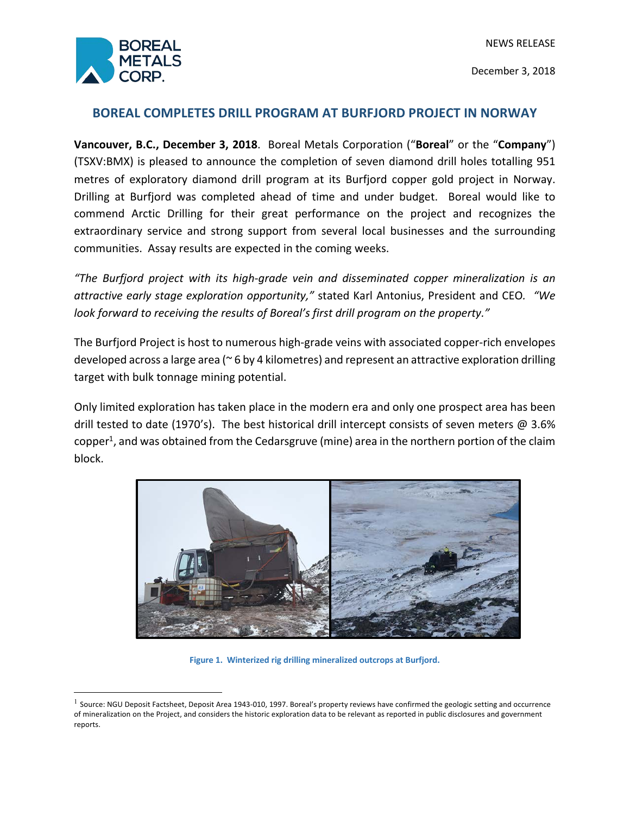

December 3, 2018

# **BOREAL COMPLETES DRILL PROGRAM AT BURFJORD PROJECT IN NORWAY**

**Vancouver, B.C., December 3, 2018**. Boreal Metals Corporation ("**Boreal**" or the "**Company**") (TSXV:BMX) is pleased to announce the completion of seven diamond drill holes totalling 951 metres of exploratory diamond drill program at its Burfjord copper gold project in Norway. Drilling at Burfjord was completed ahead of time and under budget. Boreal would like to commend Arctic Drilling for their great performance on the project and recognizes the extraordinary service and strong support from several local businesses and the surrounding communities. Assay results are expected in the coming weeks.

*"The Burfjord project with its high-grade vein and disseminated copper mineralization is an attractive early stage exploration opportunity,"* stated Karl Antonius, President and CEO*. "We look forward to receiving the results of Boreal's first drill program on the property."*

The Burfjord Project is host to numerous high-grade veins with associated copper-rich envelopes developed across a large area (~ 6 by 4 kilometres) and represent an attractive exploration drilling target with bulk tonnage mining potential.

Only limited exploration has taken place in the modern era and only one prospect area has been drill tested to date (1970's). The best historical drill intercept consists of seven meters @ 3.6% copper<sup>1</sup>, and was obtained from the Cedarsgruve (mine) area in the northern portion of the claim block.



**Figure 1. Winterized rig drilling mineralized outcrops at Burfjord.**

 $<sup>1</sup>$  Source: NGU Deposit Factsheet, Deposit Area 1943-010, 1997. Boreal's property reviews have confirmed the geologic setting and occurrence</sup> of mineralization on the Project, and considers the historic exploration data to be relevant as reported in public disclosures and government reports.